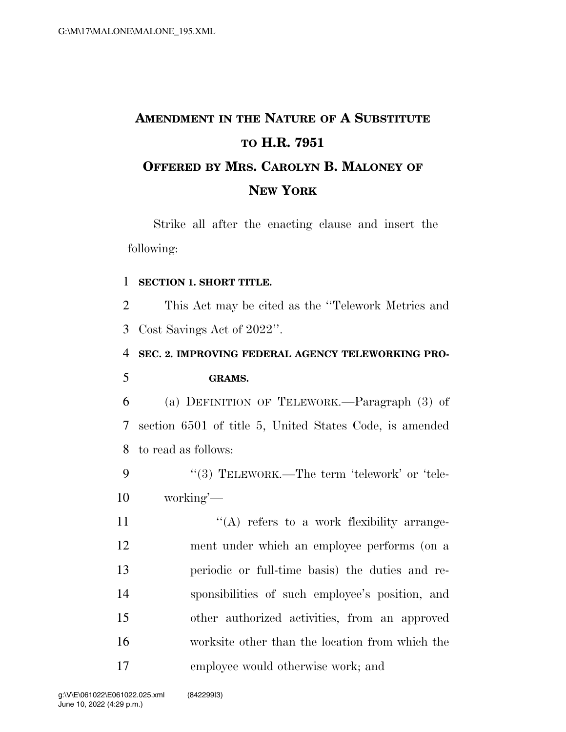# **AMENDMENT IN THE NATURE OF A SUBSTITUTE TO H.R. 7951 OFFERED BY MRS. CAROLYN B. MALONEY OF NEW YORK**

Strike all after the enacting clause and insert the following:

#### 1 **SECTION 1. SHORT TITLE.**

2 This Act may be cited as the ''Telework Metrics and 3 Cost Savings Act of 2022''.

### 4 **SEC. 2. IMPROVING FEDERAL AGENCY TELEWORKING PRO-**5 **GRAMS.**

6 (a) DEFINITION OF TELEWORK.—Paragraph (3) of 7 section 6501 of title 5, United States Code, is amended 8 to read as follows:

9 "(3) TELEWORK.—The term 'telework' or 'tele-10 working'—

 $((A)$  refers to a work flexibility arrange- ment under which an employee performs (on a periodic or full-time basis) the duties and re- sponsibilities of such employee's position, and other authorized activities, from an approved worksite other than the location from which the employee would otherwise work; and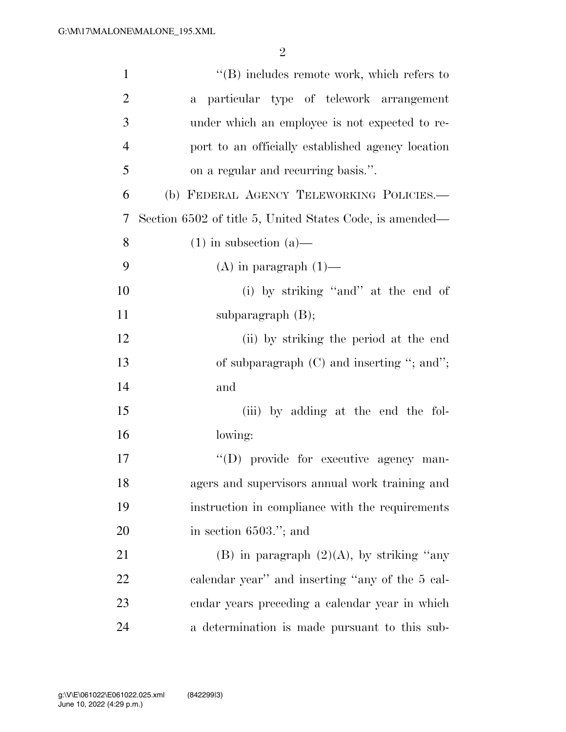| $\mathbf{1}$   | $\lq\lq (B)$ includes remote work, which refers to       |
|----------------|----------------------------------------------------------|
| $\overline{2}$ | a particular type of telework arrangement                |
| 3              | under which an employee is not expected to re-           |
| $\overline{4}$ | port to an officially established agency location        |
| 5              | on a regular and recurring basis.".                      |
| 6              | (b) FEDERAL AGENCY TELEWORKING POLICIES.-                |
| 7              | Section 6502 of title 5, United States Code, is amended— |
| 8              | $(1)$ in subsection $(a)$ —                              |
| 9              | $(A)$ in paragraph $(1)$ —                               |
| 10             | (i) by striking "and" at the end of                      |
| 11             | subparagraph $(B)$ ;                                     |
| 12             | (ii) by striking the period at the end                   |
| 13             | of subparagraph $(C)$ and inserting "; and";             |
| 14             | and                                                      |
| 15             | (iii) by adding at the end the fol-                      |
| 16             | lowing:                                                  |
| 17             | "(D) provide for executive agency man-                   |
| 18             | agers and supervisors annual work training and           |
| 19             | instruction in compliance with the requirements          |
| 20             | in section $6503$ ."; and                                |
| 21             | (B) in paragraph $(2)(A)$ , by striking "any             |
| 22             | calendar year" and inserting "any of the 5 cal-          |
| 23             | endar years preceding a calendar year in which           |
| 24             | a determination is made pursuant to this sub-            |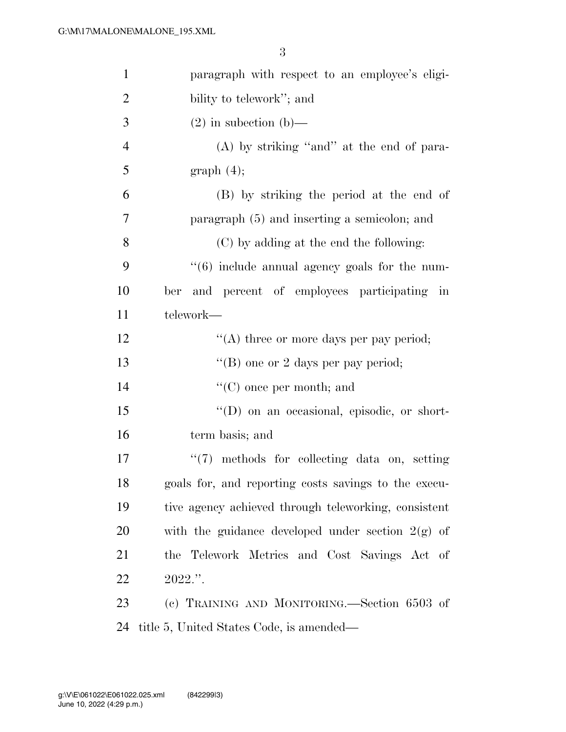| $\mathbf{1}$   | paragraph with respect to an employee's eligi-       |
|----------------|------------------------------------------------------|
| $\overline{2}$ | bility to telework"; and                             |
| 3              | $(2)$ in subsection (b)—                             |
| $\overline{4}$ | $(A)$ by striking "and" at the end of para-          |
| 5              | graph(4);                                            |
| 6              | (B) by striking the period at the end of             |
| 7              | paragraph (5) and inserting a semicolon; and         |
| 8              | (C) by adding at the end the following:              |
| 9              | $``(6)$ include annual agency goals for the num-     |
| 10             | and percent of employees participating in<br>ber     |
| 11             | telework—                                            |
| 12             | "(A) three or more days per pay period;              |
| 13             | "(B) one or 2 days per pay period;                   |
| 14             | $\lq\lq$ (C) once per month; and                     |
| 15             | "(D) on an occasional, episodic, or short-           |
| 16             | term basis; and                                      |
| 17             | $\lq(7)$ methods for collecting data on, setting     |
| 18             | goals for, and reporting costs savings to the execu- |
| 19             | tive agency achieved through teleworking, consistent |
| 20             | with the guidance developed under section $2(g)$ of  |
| 21             | the Telework Metrics and Cost Savings Act of         |
| 22             | $2022$ .".                                           |
| 23             | (c) TRAINING AND MONITORING.—Section 6503 of         |
| 24             | title 5, United States Code, is amended—             |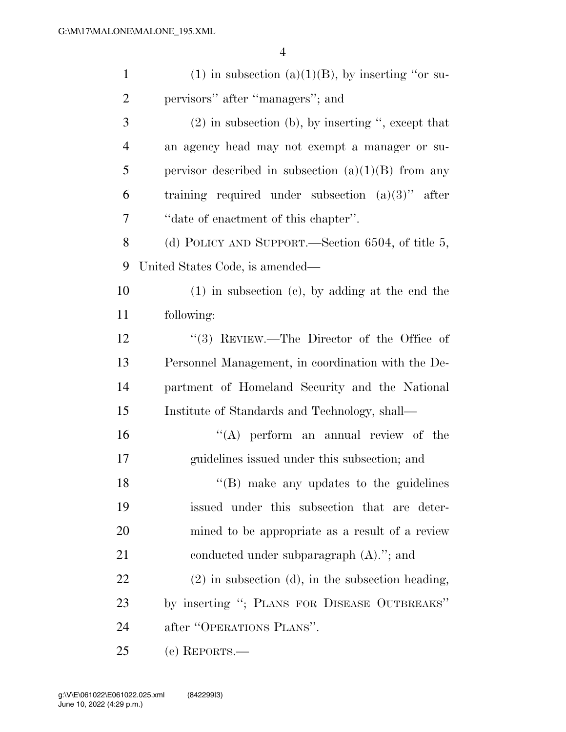| $\mathbf{1}$   | $(1)$ in subsection $(a)(1)(B)$ , by inserting "or su- |
|----------------|--------------------------------------------------------|
| $\overline{2}$ | pervisors" after "managers"; and                       |
| 3              | $(2)$ in subsection (b), by inserting ", except that   |
| $\overline{4}$ | an agency head may not exempt a manager or su-         |
| 5              | pervisor described in subsection $(a)(1)(B)$ from any  |
| 6              | training required under subsection $(a)(3)$ " after    |
| 7              | "date of enactment of this chapter".                   |
| 8              | (d) POLICY AND SUPPORT.—Section 6504, of title 5,      |
| 9              | United States Code, is amended—                        |
| 10             | $(1)$ in subsection $(e)$ , by adding at the end the   |
| 11             | following:                                             |
| 12             | "(3) REVIEW.—The Director of the Office of             |
| 13             | Personnel Management, in coordination with the De-     |
| 14             | partment of Homeland Security and the National         |
| 15             | Institute of Standards and Technology, shall—          |
| 16             | $\lq\lq$ perform an annual review of the               |
| 17             | guidelines issued under this subsection; and           |
| 18             | "(B) make any updates to the guidelines                |
| 19             | issued under this subsection that are deter-           |
| 20             | mined to be appropriate as a result of a review        |
| 21             | conducted under subparagraph $(A)$ ."; and             |
| 22             | $(2)$ in subsection $(d)$ , in the subsection heading, |
| 23             | by inserting "; PLANS FOR DISEASE OUTBREAKS"           |
| 24             | after "OPERATIONS PLANS".                              |
| 25             | (e) REPORTS.—                                          |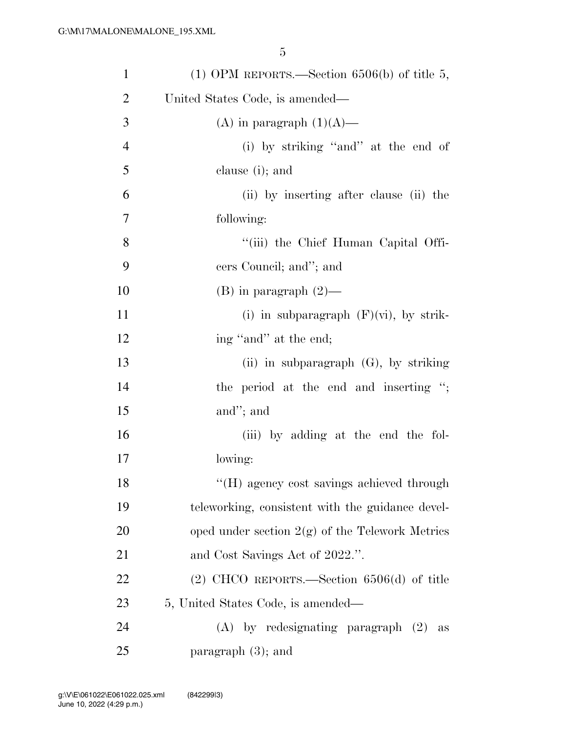| $\mathbf{1}$   | (1) OPM REPORTS.—Section $6506(b)$ of title 5,    |
|----------------|---------------------------------------------------|
| $\overline{2}$ | United States Code, is amended—                   |
| 3              | (A) in paragraph $(1)(A)$ —                       |
| $\overline{4}$ | (i) by striking "and" at the end of               |
| 5              | clause (i); and                                   |
| 6              | (ii) by inserting after clause (ii) the           |
| 7              | following:                                        |
| 8              | "(iii) the Chief Human Capital Offi-              |
| 9              | cers Council; and"; and                           |
| 10             | $(B)$ in paragraph $(2)$ —                        |
| 11             | (i) in subparagraph $(F)(vi)$ , by strik-         |
| 12             | ing "and" at the end;                             |
| 13             | (ii) in subparagraph $(G)$ , by striking          |
| 14             | the period at the end and inserting ";            |
| 15             | and"; and                                         |
| 16             | (iii) by adding at the end the fol-               |
| 17             | lowing:                                           |
| 18             | "(H) agency cost savings achieved through         |
| 19             | teleworking, consistent with the guidance devel-  |
| 20             | oped under section $2(g)$ of the Telework Metrics |
| 21             | and Cost Savings Act of 2022.".                   |
| 22             | $(2)$ CHCO REPORTS.—Section 6506(d) of title      |
| 23             | 5, United States Code, is amended—                |
| 24             | $(A)$ by redesignating paragraph $(2)$<br>as      |
| 25             | paragraph $(3)$ ; and                             |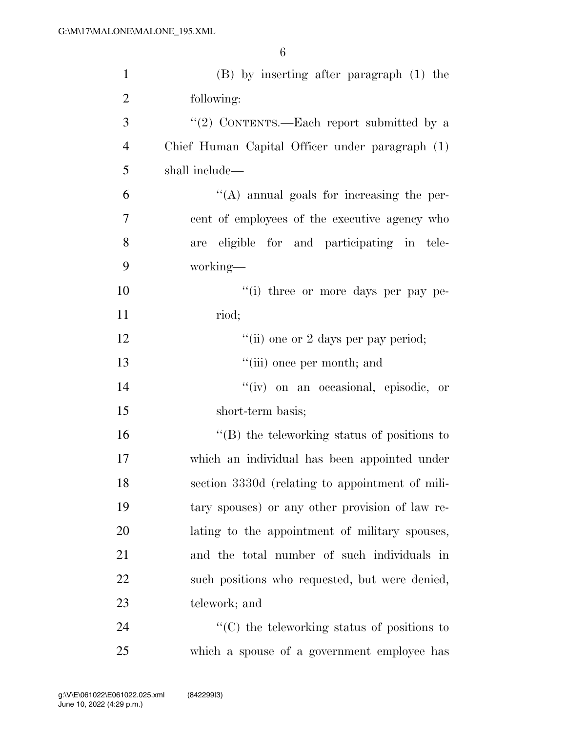| $\mathbf{1}$   | (B) by inserting after paragraph (1) the           |
|----------------|----------------------------------------------------|
| $\overline{2}$ | following:                                         |
| 3              | "(2) CONTENTS.—Each report submitted by a          |
| $\overline{4}$ | Chief Human Capital Officer under paragraph (1)    |
| 5              | shall include—                                     |
| 6              | $\lq\lq$ annual goals for increasing the per-      |
| 7              | cent of employees of the executive agency who      |
| 8              | are eligible for and participating in tele-        |
| 9              | working—                                           |
| 10             | "(i) three or more days per pay pe-                |
| 11             | riod;                                              |
| 12             | "(ii) one or 2 days per pay period;                |
| 13             | "(iii) once per month; and                         |
| 14             | "(iv) on an occasional, episodic, or               |
| 15             | short-term basis;                                  |
| 16             | "(B) the teleworking status of positions to        |
| 17             | which an individual has been appointed under       |
| 18             | section 3330d (relating to appointment of mili-    |
| 19             | tary spouses) or any other provision of law re-    |
| 20             | lating to the appointment of military spouses,     |
| 21             | and the total number of such individuals in        |
| 22             | such positions who requested, but were denied,     |
| 23             | telework; and                                      |
| 24             | $\cdot$ (C) the teleworking status of positions to |
| 25             | which a spouse of a government employee has        |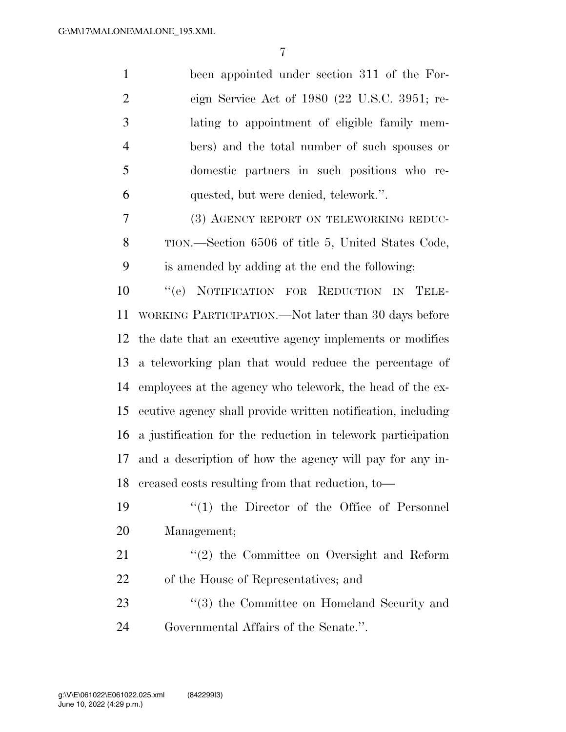been appointed under section 311 of the For- eign Service Act of 1980 (22 U.S.C. 3951; re- lating to appointment of eligible family mem- bers) and the total number of such spouses or domestic partners in such positions who re-quested, but were denied, telework.''.

 (3) AGENCY REPORT ON TELEWORKING REDUC- TION.—Section 6506 of title 5, United States Code, is amended by adding at the end the following:

 ''(e) NOTIFICATION FOR REDUCTION IN TELE- WORKING PARTICIPATION.—Not later than 30 days before the date that an executive agency implements or modifies a teleworking plan that would reduce the percentage of employees at the agency who telework, the head of the ex- ecutive agency shall provide written notification, including a justification for the reduction in telework participation and a description of how the agency will pay for any in-creased costs resulting from that reduction, to—

- ''(1) the Director of the Office of Personnel Management;
- 21 ''(2) the Committee on Oversight and Reform of the House of Representatives; and
- 23 ''(3) the Committee on Homeland Security and Governmental Affairs of the Senate.''.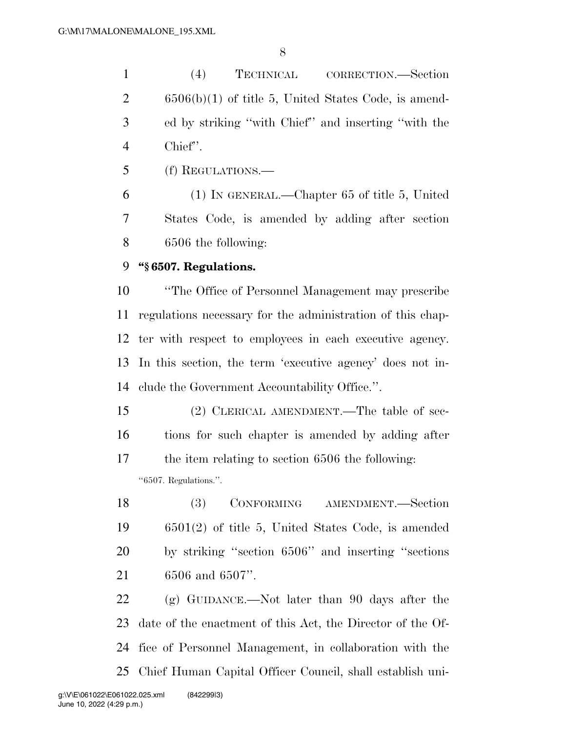(4) TECHNICAL CORRECTION.—Section 6506(b)(1) of title 5, United States Code, is amend- ed by striking ''with Chief'' and inserting ''with the Chief''.

(f) REGULATIONS.—

 (1) IN GENERAL.—Chapter 65 of title 5, United States Code, is amended by adding after section 6506 the following:

#### **''§ 6507. Regulations.**

 ''The Office of Personnel Management may prescribe regulations necessary for the administration of this chap- ter with respect to employees in each executive agency. In this section, the term 'executive agency' does not in-clude the Government Accountability Office.''.

 (2) CLERICAL AMENDMENT.—The table of sec- tions for such chapter is amended by adding after the item relating to section 6506 the following: ''6507. Regulations.''.

 (3) CONFORMING AMENDMENT.—Section 6501(2) of title 5, United States Code, is amended by striking ''section 6506'' and inserting ''sections 6506 and 6507''.

 (g) GUIDANCE.—Not later than 90 days after the date of the enactment of this Act, the Director of the Of- fice of Personnel Management, in collaboration with the Chief Human Capital Officer Council, shall establish uni-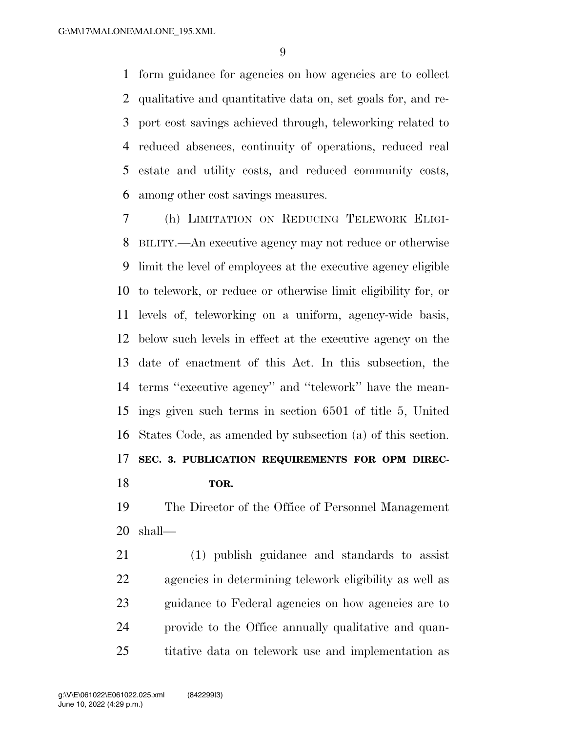form guidance for agencies on how agencies are to collect qualitative and quantitative data on, set goals for, and re- port cost savings achieved through, teleworking related to reduced absences, continuity of operations, reduced real estate and utility costs, and reduced community costs, among other cost savings measures.

 (h) LIMITATION ON REDUCING TELEWORK ELIGI- BILITY.—An executive agency may not reduce or otherwise limit the level of employees at the executive agency eligible to telework, or reduce or otherwise limit eligibility for, or levels of, teleworking on a uniform, agency-wide basis, below such levels in effect at the executive agency on the date of enactment of this Act. In this subsection, the terms ''executive agency'' and ''telework'' have the mean- ings given such terms in section 6501 of title 5, United States Code, as amended by subsection (a) of this section. **SEC. 3. PUBLICATION REQUIREMENTS FOR OPM DIREC-TOR.** 

 The Director of the Office of Personnel Management shall—

 (1) publish guidance and standards to assist agencies in determining telework eligibility as well as guidance to Federal agencies on how agencies are to provide to the Office annually qualitative and quan-titative data on telework use and implementation as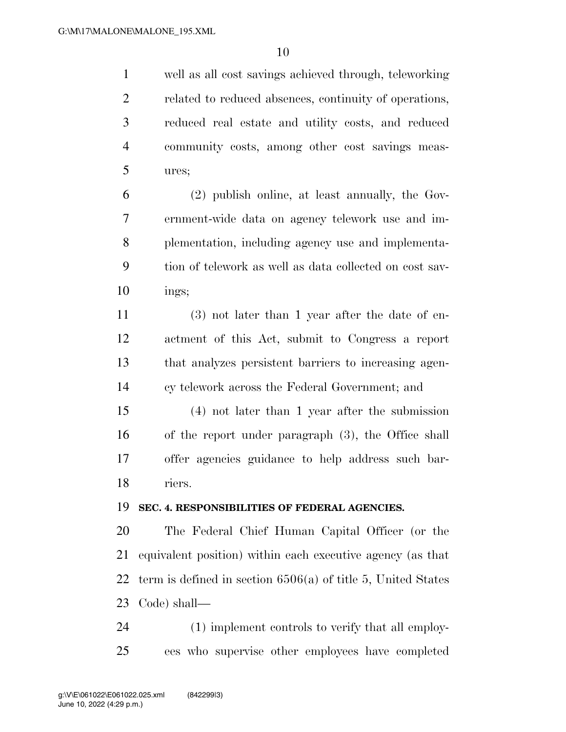well as all cost savings achieved through, teleworking related to reduced absences, continuity of operations, reduced real estate and utility costs, and reduced community costs, among other cost savings meas-ures;

 (2) publish online, at least annually, the Gov- ernment-wide data on agency telework use and im- plementation, including agency use and implementa- tion of telework as well as data collected on cost sav-ings;

 (3) not later than 1 year after the date of en- actment of this Act, submit to Congress a report that analyzes persistent barriers to increasing agen-cy telework across the Federal Government; and

 (4) not later than 1 year after the submission of the report under paragraph (3), the Office shall offer agencies guidance to help address such bar-riers.

#### **SEC. 4. RESPONSIBILITIES OF FEDERAL AGENCIES.**

 The Federal Chief Human Capital Officer (or the equivalent position) within each executive agency (as that term is defined in section 6506(a) of title 5, United States Code) shall—

 (1) implement controls to verify that all employ-ees who supervise other employees have completed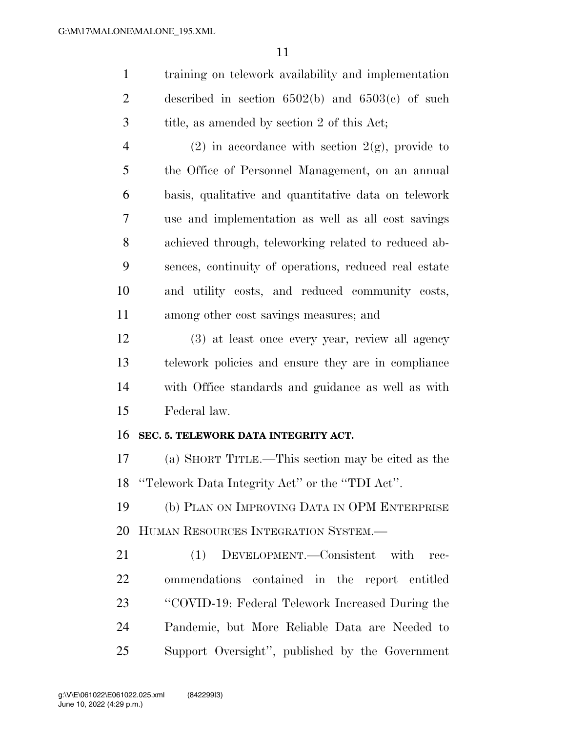training on telework availability and implementation described in section 6502(b) and 6503(c) of such title, as amended by section 2 of this Act;

4 (2) in accordance with section  $2(g)$ , provide to the Office of Personnel Management, on an annual basis, qualitative and quantitative data on telework use and implementation as well as all cost savings achieved through, teleworking related to reduced ab- sences, continuity of operations, reduced real estate and utility costs, and reduced community costs, among other cost savings measures; and

 (3) at least once every year, review all agency telework policies and ensure they are in compliance with Office standards and guidance as well as with Federal law.

#### **SEC. 5. TELEWORK DATA INTEGRITY ACT.**

 (a) SHORT TITLE.—This section may be cited as the ''Telework Data Integrity Act'' or the ''TDI Act''.

 (b) PLAN ON IMPROVING DATA IN OPM ENTERPRISE HUMAN RESOURCES INTEGRATION SYSTEM.—

 (1) DEVELOPMENT.—Consistent with rec- ommendations contained in the report entitled ''COVID-19: Federal Telework Increased During the Pandemic, but More Reliable Data are Needed to Support Oversight'', published by the Government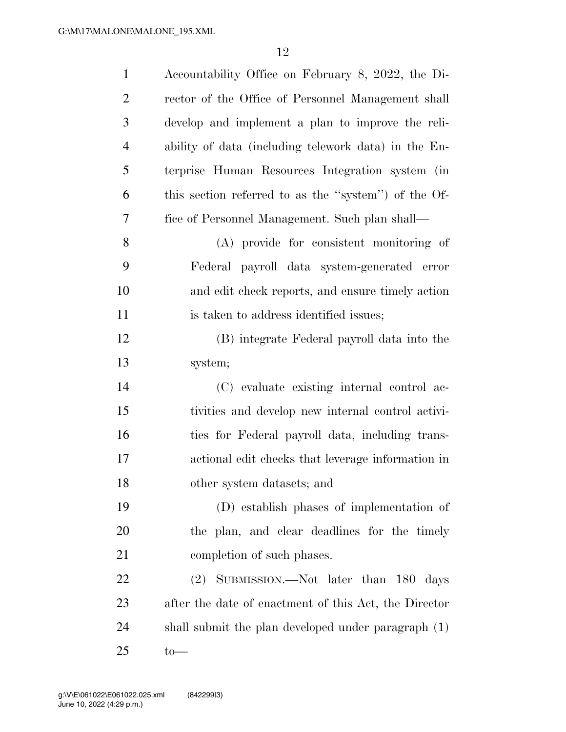| $\mathbf{1}$   | Accountability Office on February 8, 2022, the Di-    |
|----------------|-------------------------------------------------------|
| $\overline{2}$ | rector of the Office of Personnel Management shall    |
| 3              | develop and implement a plan to improve the reli-     |
| $\overline{4}$ | ability of data (including telework data) in the En-  |
| 5              | terprise Human Resources Integration system (in       |
| 6              | this section referred to as the "system") of the Of-  |
| 7              | fice of Personnel Management. Such plan shall—        |
| 8              | (A) provide for consistent monitoring of              |
| 9              | Federal payroll data system-generated error           |
| 10             | and edit check reports, and ensure timely action      |
| 11             | is taken to address identified issues;                |
| 12             | (B) integrate Federal payroll data into the           |
| 13             | system;                                               |
| 14             | (C) evaluate existing internal control ac-            |
| 15             | tivities and develop new internal control activi-     |
| 16             | ties for Federal payroll data, including trans-       |
| 17             | actional edit checks that leverage information in     |
| 18             | other system datasets; and                            |
| 19             | (D) establish phases of implementation of             |
| 20             | the plan, and clear deadlines for the timely          |
| 21             | completion of such phases.                            |
| 22             | (2) SUBMISSION.—Not later than 180 days               |
| 23             | after the date of enactment of this Act, the Director |
| 24             | shall submit the plan developed under paragraph (1)   |
| 25             | $to-$                                                 |